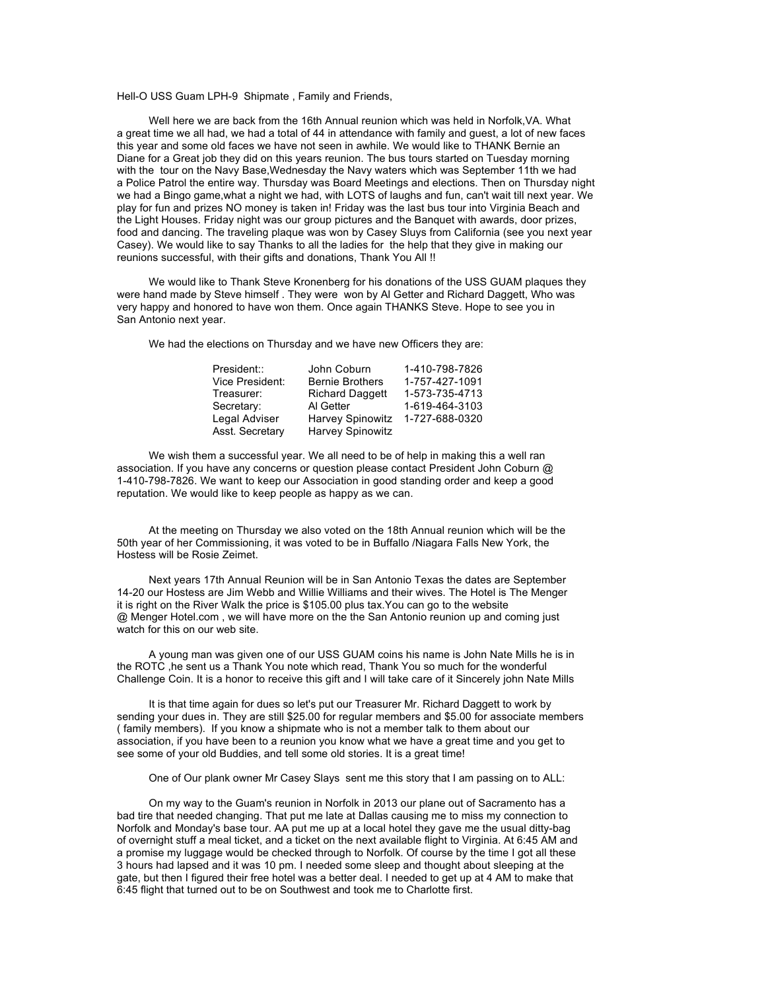Hell-O USS Guam LPH-9 Shipmate , Family and Friends,

Well here we are back from the 16th Annual reunion which was held in Norfolk,VA. What a great time we all had, we had a total of 44 in attendance with family and guest, a lot of new faces this year and some old faces we have not seen in awhile. We would like to THANK Bernie an Diane for a Great job they did on this years reunion. The bus tours started on Tuesday morning with the tour on the Navy Base,Wednesday the Navy waters which was September 11th we had a Police Patrol the entire way. Thursday was Board Meetings and elections. Then on Thursday night we had a Bingo game,what a night we had, with LOTS of laughs and fun, can't wait till next year. We play for fun and prizes NO money is taken in! Friday was the last bus tour into Virginia Beach and the Light Houses. Friday night was our group pictures and the Banquet with awards, door prizes, food and dancing. The traveling plaque was won by Casey Sluys from California (see you next year Casey). We would like to say Thanks to all the ladies for the help that they give in making our reunions successful, with their gifts and donations, Thank You All !!

We would like to Thank Steve Kronenberg for his donations of the USS GUAM plaques they were hand made by Steve himself . They were won by Al Getter and Richard Daggett, Who was very happy and honored to have won them. Once again THANKS Steve. Hope to see you in San Antonio next year.

We had the elections on Thursday and we have new Officers they are:

| President::     | John Coburn            | 1-410-798-7826 |
|-----------------|------------------------|----------------|
| Vice President: | <b>Bernie Brothers</b> | 1-757-427-1091 |
| Treasurer:      | <b>Richard Daggett</b> | 1-573-735-4713 |
| Secretary:      | Al Getter              | 1-619-464-3103 |
| Legal Adviser   | Harvey Spinowitz       | 1-727-688-0320 |
| Asst. Secretary | Harvey Spinowitz       |                |

We wish them a successful year. We all need to be of help in making this a well ran association. If you have any concerns or question please contact President John Coburn @ 1-410-798-7826. We want to keep our Association in good standing order and keep a good reputation. We would like to keep people as happy as we can.

At the meeting on Thursday we also voted on the 18th Annual reunion which will be the 50th year of her Commissioning, it was voted to be in Buffallo /Niagara Falls New York, the Hostess will be Rosie Zeimet.

Next years 17th Annual Reunion will be in San Antonio Texas the dates are September 14-20 our Hostess are Jim Webb and Willie Williams and their wives. The Hotel is The Menger it is right on the River Walk the price is \$105.00 plus tax.You can go to the website @ Menger Hotel.com , we will have more on the the San Antonio reunion up and coming just watch for this on our web site.

A young man was given one of our USS GUAM coins his name is John Nate Mills he is in the ROTC ,he sent us a Thank You note which read, Thank You so much for the wonderful Challenge Coin. It is a honor to receive this gift and I will take care of it Sincerely john Nate Mills

It is that time again for dues so let's put our Treasurer Mr. Richard Daggett to work by sending your dues in. They are still \$25.00 for regular members and \$5.00 for associate members ( family members). If you know a shipmate who is not a member talk to them about our association, if you have been to a reunion you know what we have a great time and you get to see some of your old Buddies, and tell some old stories. It is a great time!

One of Our plank owner Mr Casey Slays sent me this story that I am passing on to ALL:

On my way to the Guam's reunion in Norfolk in 2013 our plane out of Sacramento has a bad tire that needed changing. That put me late at Dallas causing me to miss my connection to Norfolk and Monday's base tour. AA put me up at a local hotel they gave me the usual ditty-bag of overnight stuff a meal ticket, and a ticket on the next available flight to Virginia. At 6:45 AM and a promise my luggage would be checked through to Norfolk. Of course by the time I got all these 3 hours had lapsed and it was 10 pm. I needed some sleep and thought about sleeping at the gate, but then I figured their free hotel was a better deal. I needed to get up at 4 AM to make that 6:45 flight that turned out to be on Southwest and took me to Charlotte first.